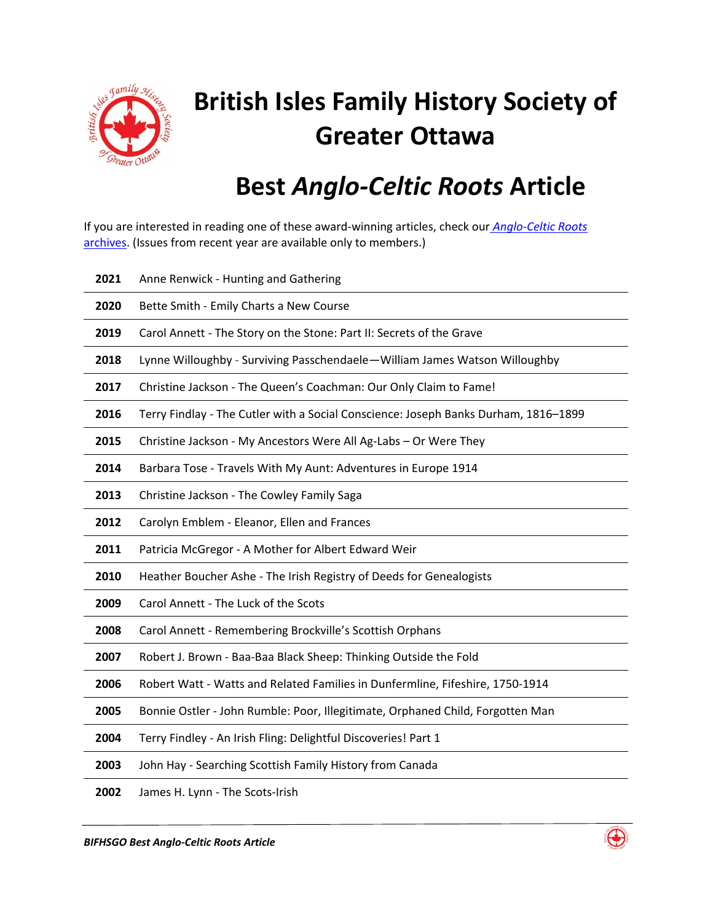

## **British Isles Family History Society of Greater Ottawa**

## **Best** *Anglo-Celtic Roots* **Article**

If you are interested in reading one of these award-winning articles, check our *[Anglo-Celtic Roots](http://www.bifhsgo.ca/clist.php?nm=108)* [archives.](http://www.bifhsgo.ca/clist.php?nm=108) (Issues from recent year are available only to members.)

| 2021 | Anne Renwick - Hunting and Gathering                                                |
|------|-------------------------------------------------------------------------------------|
| 2020 | Bette Smith - Emily Charts a New Course                                             |
| 2019 | Carol Annett - The Story on the Stone: Part II: Secrets of the Grave                |
| 2018 | Lynne Willoughby - Surviving Passchendaele-William James Watson Willoughby          |
| 2017 | Christine Jackson - The Queen's Coachman: Our Only Claim to Fame!                   |
| 2016 | Terry Findlay - The Cutler with a Social Conscience: Joseph Banks Durham, 1816-1899 |
| 2015 | Christine Jackson - My Ancestors Were All Ag-Labs - Or Were They                    |
| 2014 | Barbara Tose - Travels With My Aunt: Adventures in Europe 1914                      |
| 2013 | Christine Jackson - The Cowley Family Saga                                          |
| 2012 | Carolyn Emblem - Eleanor, Ellen and Frances                                         |
| 2011 | Patricia McGregor - A Mother for Albert Edward Weir                                 |
| 2010 | Heather Boucher Ashe - The Irish Registry of Deeds for Genealogists                 |
| 2009 | Carol Annett - The Luck of the Scots                                                |
|      |                                                                                     |
| 2008 | Carol Annett - Remembering Brockville's Scottish Orphans                            |
| 2007 | Robert J. Brown - Baa-Baa Black Sheep: Thinking Outside the Fold                    |
| 2006 | Robert Watt - Watts and Related Families in Dunfermline, Fifeshire, 1750-1914       |
| 2005 | Bonnie Ostler - John Rumble: Poor, Illegitimate, Orphaned Child, Forgotten Man      |
| 2004 | Terry Findley - An Irish Fling: Delightful Discoveries! Part 1                      |
| 2003 | John Hay - Searching Scottish Family History from Canada                            |